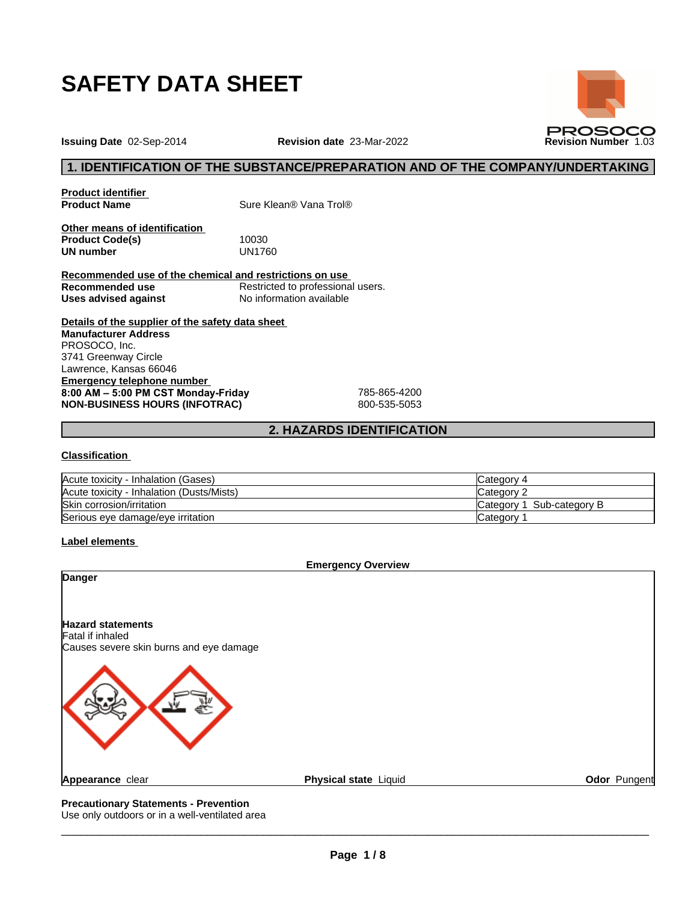

**Issuing Date** 02-Sep-2014 **Revision date** 23-Mar-2022 **Revision Number** 1.03

## **1. IDENTIFICATION OF THE SUBSTANCE/PREPARATION AND OF THE COMPANY/UNDERTAKING**

**PROSOCO** 

**Product identifier**

**Product Name** Sure Klean® Vana Trol®

**Other means of identification Product Code(s)** 10030<br> **UN number** UN1760 **UN number** 

**Recommended use of the chemical and restrictions on use Recommended use** Restricted to professional users. **Uses advised against** No information available

**Details of the supplier of the safety data sheet Emergency telephone number 8:00AM–5:00PMCSTMonday-Friday** 785-865-4200 **NON-BUSINESS HOURS (INFOTRAC)** 800-535-5053 **Manufacturer Address** PROSOCO, Inc. 3741 Greenway Circle Lawrence, Kansas 66046

## **2. HAZARDS IDENTIFICATION**

#### **Classification**

| Acute toxicity - Inhalation (Gases)       | Category 4                 |
|-------------------------------------------|----------------------------|
| Acute toxicity - Inhalation (Dusts/Mists) | Category 1                 |
| Skin corrosion/irritation                 | Sub-category B<br>∟ategor∨ |
| Serious eye damage/eye irritation         | ∟ategor∨                   |

#### **Label elements**



Use only outdoors or in a well-ventilated area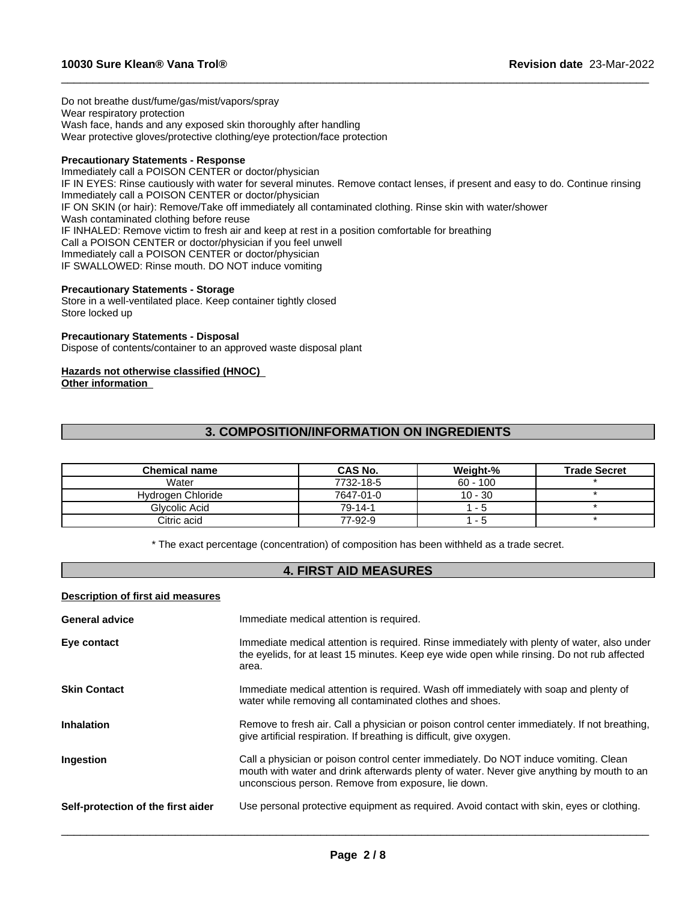Do not breathe dust/fume/gas/mist/vapors/spray Wear respiratory protection Wash face, hands and any exposed skin thoroughly after handling Wear protective gloves/protective clothing/eye protection/face protection

#### **Precautionary Statements - Response**

Immediately call a POISON CENTER or doctor/physician IF IN EYES: Rinse cautiously with water for several minutes. Remove contact lenses, if present and easy to do. Continue rinsing Immediately call a POISON CENTER or doctor/physician IF ON SKIN (or hair): Remove/Take off immediately all contaminated clothing. Rinse skin with water/shower Wash contaminated clothing before reuse IF INHALED: Remove victim to fresh air and keep at rest in a position comfortable for breathing Call a POISON CENTER or doctor/physician if you feel unwell Immediately call a POISON CENTER or doctor/physician IF SWALLOWED: Rinse mouth. DO NOT induce vomiting

 $\_$  ,  $\_$  ,  $\_$  ,  $\_$  ,  $\_$  ,  $\_$  ,  $\_$  ,  $\_$  ,  $\_$  ,  $\_$  ,  $\_$  ,  $\_$  ,  $\_$  ,  $\_$  ,  $\_$  ,  $\_$  ,  $\_$  ,  $\_$  ,  $\_$  ,  $\_$  ,  $\_$  ,  $\_$  ,  $\_$  ,  $\_$  ,  $\_$  ,  $\_$  ,  $\_$  ,  $\_$  ,  $\_$  ,  $\_$  ,  $\_$  ,  $\_$  ,  $\_$  ,  $\_$  ,  $\_$  ,  $\_$  ,  $\_$  ,

#### **Precautionary Statements - Storage**

Store in a well-ventilated place. Keep container tightly closed Store locked up

#### **Precautionary Statements - Disposal**

Dispose of contents/container to an approved waste disposal plant

#### **Hazards not otherwise classified (HNOC)**

**Other information**

## **3. COMPOSITION/INFORMATION ON INGREDIENTS**

| <b>Chemical name</b> | CAS No.   | Weight-%   | <b>Trade Secret</b> |
|----------------------|-----------|------------|---------------------|
| Water                | 7732-18-5 | $60 - 100$ |                     |
| Hydrogen Chloride    | 7647-01-0 | 10 - 30    |                     |
| Glycolic Acid        | 79-14-1   | - 5        |                     |
| Citric acid          | 77-92-9   | - 5        |                     |

\* The exact percentage (concentration) of composition has been withheld as a trade secret.

## **4. FIRST AID MEASURES**

#### **Description of first aid measures**

| <b>General advice</b>              | Immediate medical attention is required.                                                                                                                                                                                                 |
|------------------------------------|------------------------------------------------------------------------------------------------------------------------------------------------------------------------------------------------------------------------------------------|
| Eye contact                        | Immediate medical attention is required. Rinse immediately with plenty of water, also under<br>the eyelids, for at least 15 minutes. Keep eye wide open while rinsing. Do not rub affected<br>area.                                      |
| <b>Skin Contact</b>                | Immediate medical attention is required. Wash off immediately with soap and plenty of<br>water while removing all contaminated clothes and shoes.                                                                                        |
| <b>Inhalation</b>                  | Remove to fresh air. Call a physician or poison control center immediately. If not breathing,<br>give artificial respiration. If breathing is difficult, give oxygen.                                                                    |
| Ingestion                          | Call a physician or poison control center immediately. Do NOT induce vomiting. Clean<br>mouth with water and drink afterwards plenty of water. Never give anything by mouth to an<br>unconscious person. Remove from exposure, lie down. |
| Self-protection of the first aider | Use personal protective equipment as required. Avoid contact with skin, eyes or clothing.                                                                                                                                                |
|                                    |                                                                                                                                                                                                                                          |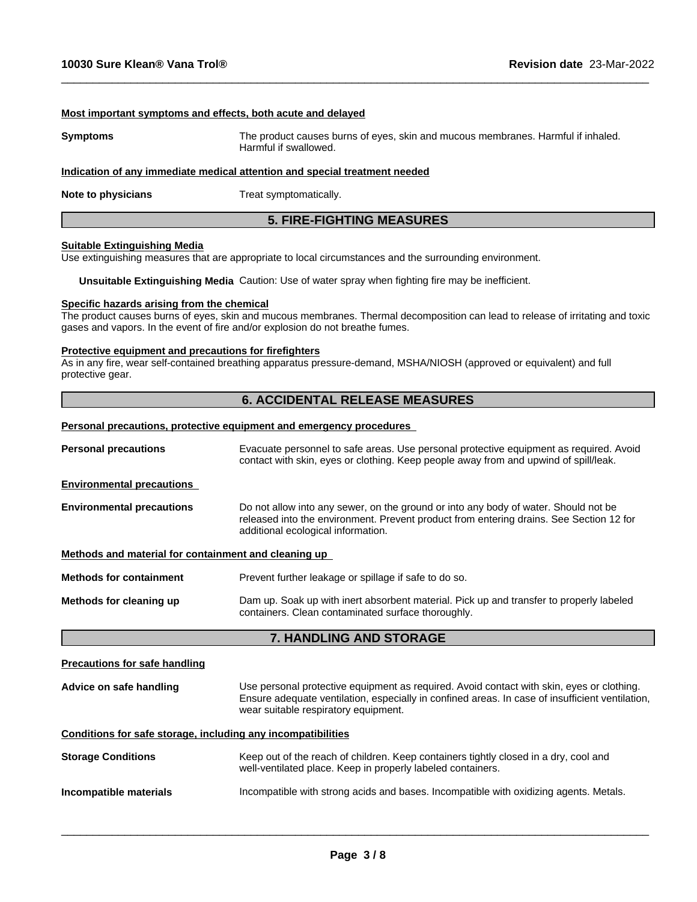#### **Most important symptoms and effects, both acute and delayed**

**Symptoms** The product causes burns of eyes, skin and mucous membranes. Harmful if inhaled. Harmful if swallowed.

 $\_$  ,  $\_$  ,  $\_$  ,  $\_$  ,  $\_$  ,  $\_$  ,  $\_$  ,  $\_$  ,  $\_$  ,  $\_$  ,  $\_$  ,  $\_$  ,  $\_$  ,  $\_$  ,  $\_$  ,  $\_$  ,  $\_$  ,  $\_$  ,  $\_$  ,  $\_$  ,  $\_$  ,  $\_$  ,  $\_$  ,  $\_$  ,  $\_$  ,  $\_$  ,  $\_$  ,  $\_$  ,  $\_$  ,  $\_$  ,  $\_$  ,  $\_$  ,  $\_$  ,  $\_$  ,  $\_$  ,  $\_$  ,  $\_$  ,

#### **Indication of any immediate medical attention and special treatment needed**

**Note to physicians** Treat symptomatically.

## **5. FIRE-FIGHTING MEASURES**

#### **Suitable Extinguishing Media**

Use extinguishing measures that are appropriate to local circumstances and the surrounding environment.

**Unsuitable Extinguishing Media** Caution: Use of water spray when fighting fire may be inefficient.

#### **Specific hazards arising from the chemical**

The product causes burns of eyes, skin and mucous membranes. Thermal decomposition can lead to release of irritating and toxic gases and vapors. In the event of fire and/or explosion do not breathe fumes.

#### **Protective equipment and precautions for firefighters**

As in any fire, wear self-contained breathing apparatus pressure-demand, MSHA/NIOSH (approved or equivalent) and full protective gear.

## **6. ACCIDENTAL RELEASE MEASURES**

#### **Personal precautions, protective equipment and emergency procedures**

| <b>Personal precautions</b>                                  | Evacuate personnel to safe areas. Use personal protective equipment as required. Avoid<br>contact with skin, eyes or clothing. Keep people away from and upwind of spill/leak.                                                       |  |  |
|--------------------------------------------------------------|--------------------------------------------------------------------------------------------------------------------------------------------------------------------------------------------------------------------------------------|--|--|
| <b>Environmental precautions</b>                             |                                                                                                                                                                                                                                      |  |  |
| <b>Environmental precautions</b>                             | Do not allow into any sewer, on the ground or into any body of water. Should not be<br>released into the environment. Prevent product from entering drains. See Section 12 for<br>additional ecological information.                 |  |  |
| Methods and material for containment and cleaning up         |                                                                                                                                                                                                                                      |  |  |
| <b>Methods for containment</b>                               | Prevent further leakage or spillage if safe to do so.                                                                                                                                                                                |  |  |
| Methods for cleaning up                                      | Dam up. Soak up with inert absorbent material. Pick up and transfer to properly labeled<br>containers. Clean contaminated surface thoroughly.                                                                                        |  |  |
|                                                              | 7. HANDLING AND STORAGE                                                                                                                                                                                                              |  |  |
| <b>Precautions for safe handling</b>                         |                                                                                                                                                                                                                                      |  |  |
| Advice on safe handling                                      | Use personal protective equipment as required. Avoid contact with skin, eyes or clothing.<br>Ensure adequate ventilation, especially in confined areas. In case of insufficient ventilation,<br>wear suitable respiratory equipment. |  |  |
| Conditions for safe storage, including any incompatibilities |                                                                                                                                                                                                                                      |  |  |
| <b>Storage Conditions</b>                                    | Keep out of the reach of children. Keep containers tightly closed in a dry, cool and<br>well-ventilated place. Keep in properly labeled containers.                                                                                  |  |  |
| Incompatible materials                                       | Incompatible with strong acids and bases. Incompatible with oxidizing agents. Metals.                                                                                                                                                |  |  |
|                                                              |                                                                                                                                                                                                                                      |  |  |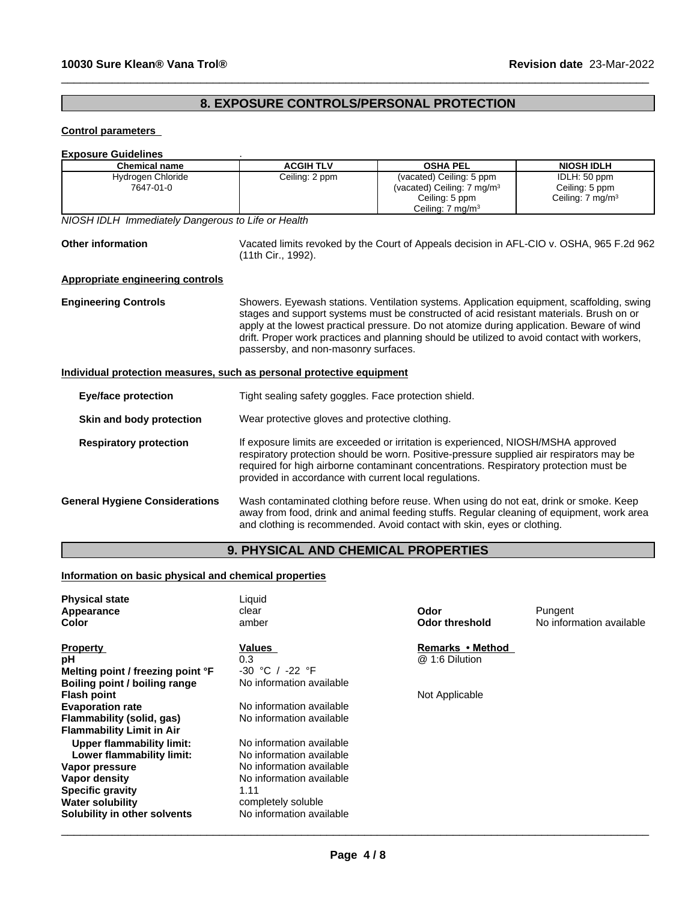# **8. EXPOSURE CONTROLS/PERSONAL PROTECTION**

 $\_$  ,  $\_$  ,  $\_$  ,  $\_$  ,  $\_$  ,  $\_$  ,  $\_$  ,  $\_$  ,  $\_$  ,  $\_$  ,  $\_$  ,  $\_$  ,  $\_$  ,  $\_$  ,  $\_$  ,  $\_$  ,  $\_$  ,  $\_$  ,  $\_$  ,  $\_$  ,  $\_$  ,  $\_$  ,  $\_$  ,  $\_$  ,  $\_$  ,  $\_$  ,  $\_$  ,  $\_$  ,  $\_$  ,  $\_$  ,  $\_$  ,  $\_$  ,  $\_$  ,  $\_$  ,  $\_$  ,  $\_$  ,  $\_$  ,

### **Control parameters**

### **Exposure Guidelines** .

| <b>Chemical name</b>                                                  | <b>ACGIH TLV</b>                                       | <b>OSHA PEL</b>                                                                                                                                                                                                                                                                                                                                                                  | <b>NIOSH IDLH</b>                                             |
|-----------------------------------------------------------------------|--------------------------------------------------------|----------------------------------------------------------------------------------------------------------------------------------------------------------------------------------------------------------------------------------------------------------------------------------------------------------------------------------------------------------------------------------|---------------------------------------------------------------|
| Hydrogen Chloride<br>7647-01-0                                        | Ceiling: 2 ppm                                         | (vacated) Ceiling: 5 ppm<br>(vacated) Ceiling: 7 mg/m <sup>3</sup><br>Ceiling: 5 ppm<br>Ceiling: $7 \text{ mg/m}^3$                                                                                                                                                                                                                                                              | IDLH: 50 ppm<br>Ceiling: 5 ppm<br>Ceiling: $7 \text{ mg/m}^3$ |
| NIOSH IDLH Immediately Dangerous to Life or Health                    |                                                        |                                                                                                                                                                                                                                                                                                                                                                                  |                                                               |
| <b>Other information</b>                                              | (11th Cir., 1992).                                     | Vacated limits revoked by the Court of Appeals decision in AFL-CIO v. OSHA, 965 F.2d 962                                                                                                                                                                                                                                                                                         |                                                               |
| Appropriate engineering controls                                      |                                                        |                                                                                                                                                                                                                                                                                                                                                                                  |                                                               |
| <b>Engineering Controls</b>                                           | passersby, and non-masonry surfaces.                   | Showers. Eyewash stations. Ventilation systems. Application equipment, scaffolding, swing<br>stages and support systems must be constructed of acid resistant materials. Brush on or<br>apply at the lowest practical pressure. Do not atomize during application. Beware of wind<br>drift. Proper work practices and planning should be utilized to avoid contact with workers, |                                                               |
| Individual protection measures, such as personal protective equipment |                                                        |                                                                                                                                                                                                                                                                                                                                                                                  |                                                               |
| <b>Eye/face protection</b>                                            | Tight sealing safety goggles. Face protection shield.  |                                                                                                                                                                                                                                                                                                                                                                                  |                                                               |
| Skin and body protection                                              | Wear protective gloves and protective clothing.        |                                                                                                                                                                                                                                                                                                                                                                                  |                                                               |
| <b>Respiratory protection</b>                                         | provided in accordance with current local regulations. | If exposure limits are exceeded or irritation is experienced, NIOSH/MSHA approved<br>respiratory protection should be worn. Positive-pressure supplied air respirators may be<br>required for high airborne contaminant concentrations. Respiratory protection must be                                                                                                           |                                                               |
| <b>General Hygiene Considerations</b>                                 |                                                        | Wash contaminated clothing before reuse. When using do not eat, drink or smoke. Keep<br>away from food, drink and animal feeding stuffs. Regular cleaning of equipment, work area<br>and clothing is recommended. Avoid contact with skin, eyes or clothing.                                                                                                                     |                                                               |
|                                                                       | <b>9. PHYSICAL AND CHEMICAL PROPERTIES</b>             |                                                                                                                                                                                                                                                                                                                                                                                  |                                                               |

# **9. PHYSICAL AND CHEMICAL PROPERTIES**

## **Information on basic physical and chemical properties**

| <b>Physical state</b><br>Appearance<br>Color | Liquid<br>clear<br>amber | Odor<br>Odor threshold | Pungent<br>No information available |
|----------------------------------------------|--------------------------|------------------------|-------------------------------------|
| <b>Property</b>                              | Values                   | Remarks • Method       |                                     |
| рH                                           | 0.3                      | @ 1:6 Dilution         |                                     |
| Melting point / freezing point °F            | $-30$ °C / $-22$ °F      |                        |                                     |
| Boiling point / boiling range                | No information available |                        |                                     |
| <b>Flash point</b>                           |                          | Not Applicable         |                                     |
| <b>Evaporation rate</b>                      | No information available |                        |                                     |
| Flammability (solid, gas)                    | No information available |                        |                                     |
| <b>Flammability Limit in Air</b>             |                          |                        |                                     |
| <b>Upper flammability limit:</b>             | No information available |                        |                                     |
| Lower flammability limit:                    | No information available |                        |                                     |
| Vapor pressure                               | No information available |                        |                                     |
| Vapor density                                | No information available |                        |                                     |
| <b>Specific gravity</b>                      | 1.11                     |                        |                                     |
| <b>Water solubility</b>                      | completely soluble       |                        |                                     |
| Solubility in other solvents                 | No information available |                        |                                     |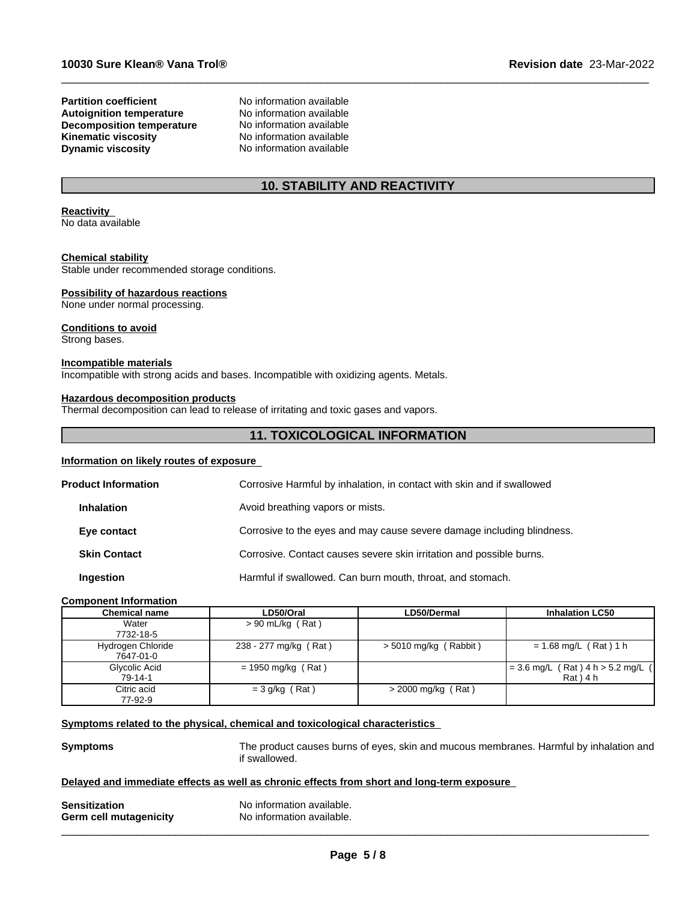#### **Partition coefficient**<br> **Autoignition temperature**<br>
No information available **Autoignition temperature No information available**<br> **Decomposition temperature No information available Decomposition temperature** No information available<br> **Kinematic viscosity** No information available **Kinematic viscosity Dynamic viscosity** No information available

## **10. STABILITY AND REACTIVITY**

 $\_$  ,  $\_$  ,  $\_$  ,  $\_$  ,  $\_$  ,  $\_$  ,  $\_$  ,  $\_$  ,  $\_$  ,  $\_$  ,  $\_$  ,  $\_$  ,  $\_$  ,  $\_$  ,  $\_$  ,  $\_$  ,  $\_$  ,  $\_$  ,  $\_$  ,  $\_$  ,  $\_$  ,  $\_$  ,  $\_$  ,  $\_$  ,  $\_$  ,  $\_$  ,  $\_$  ,  $\_$  ,  $\_$  ,  $\_$  ,  $\_$  ,  $\_$  ,  $\_$  ,  $\_$  ,  $\_$  ,  $\_$  ,  $\_$  ,

# **Reactivity**

No data available

#### **Chemical stability**

Stable under recommended storage conditions.

#### **Possibility of hazardous reactions**

None under normal processing.

#### **Conditions to avoid**

Strong bases.

#### **Incompatible materials**

Incompatible with strong acids and bases. Incompatible with oxidizing agents. Metals.

#### **Hazardous decomposition products**

Thermal decomposition can lead to release of irritating and toxic gases and vapors.

## **11. TOXICOLOGICAL INFORMATION**

#### **Information on likely routes of exposure**

| <b>Product Information</b> | Corrosive Harmful by inhalation, in contact with skin and if swallowed |
|----------------------------|------------------------------------------------------------------------|
| <b>Inhalation</b>          | Avoid breathing vapors or mists.                                       |
| Eye contact                | Corrosive to the eyes and may cause severe damage including blindness. |
| <b>Skin Contact</b>        | Corrosive. Contact causes severe skin irritation and possible burns.   |
| Ingestion                  | Harmful if swallowed. Can burn mouth, throat, and stomach.             |

#### **Component Information**

| <b>Chemical name</b> | LD50/Oral             | LD50/Dermal             | <b>Inhalation LC50</b>                     |
|----------------------|-----------------------|-------------------------|--------------------------------------------|
| Water                | $> 90$ mL/kg (Rat)    |                         |                                            |
| 7732-18-5            |                       |                         |                                            |
| Hydrogen Chloride    | 238 - 277 mg/kg (Rat) | $>$ 5010 mg/kg (Rabbit) | $= 1.68$ mg/L (Rat) 1 h                    |
| 7647-01-0            |                       |                         |                                            |
| Glycolic Acid        | $= 1950$ mg/kg (Rat)  |                         | $(Rat)$ 4 h > 5.2 mg/L $($<br>$= 3.6$ mg/L |
| 79-14-1              |                       |                         | $Rat$ ) 4 h                                |
| Citric acid          | $=$ 3 g/kg (Rat)      | $>$ 2000 mg/kg (Rat)    |                                            |
| 77-92-9              |                       |                         |                                            |

#### **Symptoms related to the physical, chemical and toxicological characteristics**

**Symptoms** The product causes burns of eyes, skin and mucous membranes. Harmful by inhalation and if swallowed.

 $\overline{\phantom{a}}$  ,  $\overline{\phantom{a}}$  ,  $\overline{\phantom{a}}$  ,  $\overline{\phantom{a}}$  ,  $\overline{\phantom{a}}$  ,  $\overline{\phantom{a}}$  ,  $\overline{\phantom{a}}$  ,  $\overline{\phantom{a}}$  ,  $\overline{\phantom{a}}$  ,  $\overline{\phantom{a}}$  ,  $\overline{\phantom{a}}$  ,  $\overline{\phantom{a}}$  ,  $\overline{\phantom{a}}$  ,  $\overline{\phantom{a}}$  ,  $\overline{\phantom{a}}$  ,  $\overline{\phantom{a}}$ 

#### **Delayed and immediate effects as well as chronic effects from short and long-term exposure**

| <b>Sensitization</b>   | No information available. |
|------------------------|---------------------------|
| Germ cell mutagenicity | No information available. |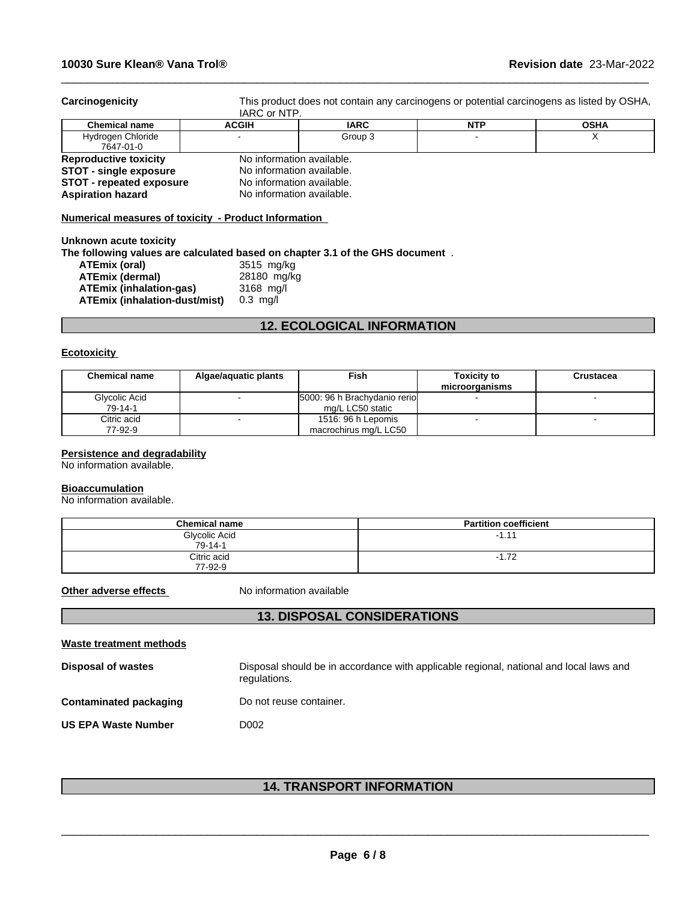**Carcinogenicity** This product does not contain any carcinogens or potential carcinogens as listed by OSHA, IARC or NTP.

 $\_$  ,  $\_$  ,  $\_$  ,  $\_$  ,  $\_$  ,  $\_$  ,  $\_$  ,  $\_$  ,  $\_$  ,  $\_$  ,  $\_$  ,  $\_$  ,  $\_$  ,  $\_$  ,  $\_$  ,  $\_$  ,  $\_$  ,  $\_$  ,  $\_$  ,  $\_$  ,  $\_$  ,  $\_$  ,  $\_$  ,  $\_$  ,  $\_$  ,  $\_$  ,  $\_$  ,  $\_$  ,  $\_$  ,  $\_$  ,  $\_$  ,  $\_$  ,  $\_$  ,  $\_$  ,  $\_$  ,  $\_$  ,  $\_$  ,

|                                 | .                         |             |            |             |
|---------------------------------|---------------------------|-------------|------------|-------------|
| <b>Chemical name</b>            | <b>ACGIH</b>              | <b>IARC</b> | <b>NTP</b> | <b>OSHA</b> |
| Hydrogen Chloride<br>7647-01-0  |                           | Group 3     |            |             |
| <b>Reproductive toxicity</b>    | No information available. |             |            |             |
| <b>STOT - single exposure</b>   | No information available. |             |            |             |
| <b>STOT - repeated exposure</b> | No information available. |             |            |             |
| <b>Aspiration hazard</b>        | No information available. |             |            |             |
|                                 |                           |             |            |             |

## **Numerical measures of toxicity - Product Information**

**Unknown acute toxicity The following values are calculated based on chapter 3.1 of the GHS document** . **ATEmix (oral)** 3515 mg/kg **ATEmix (dermal)** 28180 mg/kg<br>**ATEmix (inhalation-gas)** 3168 mg/l **ATEmix (inhalation-gas)** 3168 mg/l **ATEmix (inhalation-dust/mist)** 

# **12. ECOLOGICAL INFORMATION**

#### **Ecotoxicity**

| <b>Chemical name</b> | Algae/aguatic plants     | Fish                         | <b>Toxicity to</b><br>microorganisms | <b>Crustacea</b> |
|----------------------|--------------------------|------------------------------|--------------------------------------|------------------|
| Glycolic Acid        | $\overline{\phantom{a}}$ | 5000: 96 h Brachydanio rerio |                                      |                  |
| 79-14-1              |                          | mg/L LC50 static             |                                      |                  |
| Citric acid          | $\sim$                   | 1516: 96 h Lepomis           |                                      |                  |
| 77-92-9              |                          | macrochirus mg/L LC50        |                                      |                  |

#### **Persistence and degradability**

No information available.

#### **Bioaccumulation**

No information available.

| <b>Chemical name</b>           | <b>Partition coefficient</b> |
|--------------------------------|------------------------------|
| Glycolic Acid<br>$79 - 14 - 1$ | $-1.11$                      |
| Citric acid<br>77-92-9         | $-1.72$<br>- 1               |

**Other adverse effects** No information available

## **13. DISPOSAL CONSIDERATIONS**

| Waste treatment methods       |                                                                                                        |
|-------------------------------|--------------------------------------------------------------------------------------------------------|
| <b>Disposal of wastes</b>     | Disposal should be in accordance with applicable regional, national and local laws and<br>regulations. |
| <b>Contaminated packaging</b> | Do not reuse container.                                                                                |
| <b>US EPA Waste Number</b>    | D002                                                                                                   |

## **14. TRANSPORT INFORMATION**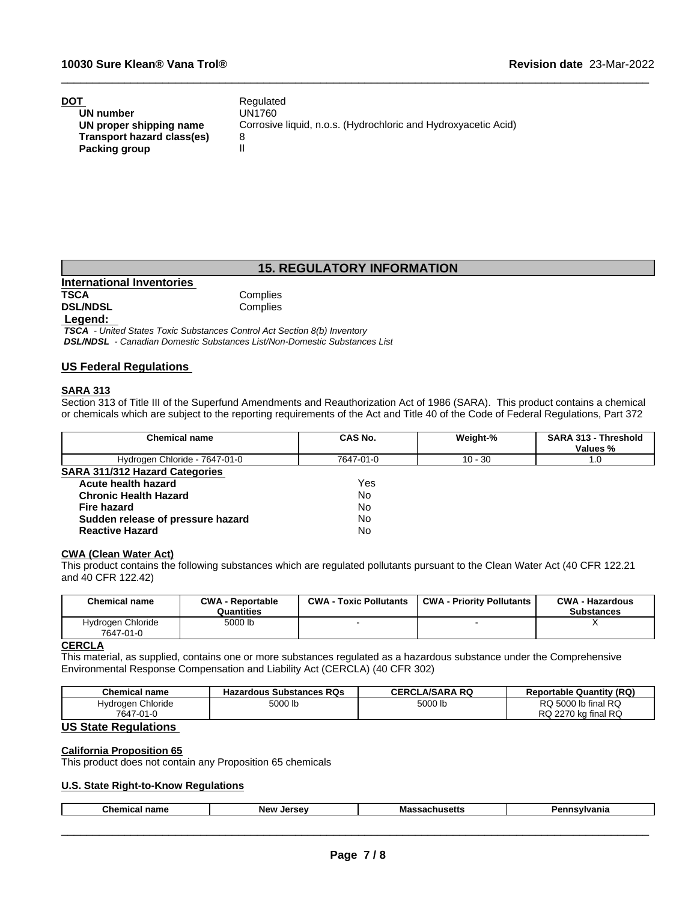| DOT                        | Regulated                                                      |
|----------------------------|----------------------------------------------------------------|
| UN number                  | UN1760                                                         |
| UN proper shipping name    | Corrosive liquid, n.o.s. (Hydrochloric and Hydroxyacetic Acid) |
| Transport hazard class(es) |                                                                |
| Packing group              |                                                                |

## **15. REGULATORY INFORMATION**

 $\_$  ,  $\_$  ,  $\_$  ,  $\_$  ,  $\_$  ,  $\_$  ,  $\_$  ,  $\_$  ,  $\_$  ,  $\_$  ,  $\_$  ,  $\_$  ,  $\_$  ,  $\_$  ,  $\_$  ,  $\_$  ,  $\_$  ,  $\_$  ,  $\_$  ,  $\_$  ,  $\_$  ,  $\_$  ,  $\_$  ,  $\_$  ,  $\_$  ,  $\_$  ,  $\_$  ,  $\_$  ,  $\_$  ,  $\_$  ,  $\_$  ,  $\_$  ,  $\_$  ,  $\_$  ,  $\_$  ,  $\_$  ,  $\_$  ,

**International Inventories DSL/NDSL** 

Complies<br>Complies

#### **Legend:**

 *TSCA - United States Toxic Substances Control Act Section 8(b) Inventory DSL/NDSL - Canadian Domestic Substances List/Non-Domestic Substances List*

#### **US Federal Regulations**

#### **SARA 313**

Section 313 of Title III of the Superfund Amendments and Reauthorization Act of 1986 (SARA). This product contains a chemical or chemicals which are subject to the reporting requirements of the Act and Title 40 of the Code of Federal Regulations, Part 372

| <b>Chemical name</b>                  | <b>CAS No.</b> | Weight-%  | <b>SARA 313 - Threshold</b> |
|---------------------------------------|----------------|-----------|-----------------------------|
|                                       |                |           | Values %                    |
| Hydrogen Chloride - 7647-01-0         | 7647-01-0      | $10 - 30$ | 1.0                         |
| <b>SARA 311/312 Hazard Categories</b> |                |           |                             |
| Acute health hazard                   | Yes            |           |                             |
| <b>Chronic Health Hazard</b>          | No             |           |                             |
| <b>Fire hazard</b>                    | No             |           |                             |
| Sudden release of pressure hazard     | No             |           |                             |
| <b>Reactive Hazard</b>                | No             |           |                             |

## **CWA (Clean WaterAct)**

This product contains the following substances which are regulated pollutants pursuant to the Clean Water Act (40 CFR 122.21 and 40 CFR 122.42)

| Chemical name                  | <b>CWA - Reportable</b><br>Quantities | <b>CWA - Toxic Pollutants</b> | <b>CWA - Priority Pollutants</b> | <b>CWA - Hazardous</b><br><b>Substances</b> |
|--------------------------------|---------------------------------------|-------------------------------|----------------------------------|---------------------------------------------|
| Hydrogen Chloride<br>7647-01-0 | 5000 lb                               |                               |                                  |                                             |

#### **CERCLA**

This material, as supplied, contains one or more substances regulated as a hazardous substance under the Comprehensive Environmental Response Compensation and Liability Act (CERCLA) (40 CFR 302)

| <b>Chemical name</b> | <b>Hazardous Substances RQs</b><br>- 40- | .A/SARA RQ<br><b>CERCL</b> | <b>Reportable Quantity (RQ)</b>              |
|----------------------|------------------------------------------|----------------------------|----------------------------------------------|
| Chloride<br>Hvdroaen | FOOO II<br>5000 lb                       | 5000 lb                    | I RQ<br>$5000$ lb final $\sim$<br>RQ         |
| 7647<br>7-01-0       |                                          |                            | <b>RQ</b><br>2270<br>DC.<br>⊧ka final<br>RQ. |

## **US State Regulations**

#### **California Proposition 65**

This product does not contain any Proposition 65 chemicals

### **U.S. State Right-to-Know Regulations**

|  | Chemical<br>name | <b>New</b><br>I | ша<br>. | anıa |
|--|------------------|-----------------|---------|------|
|--|------------------|-----------------|---------|------|